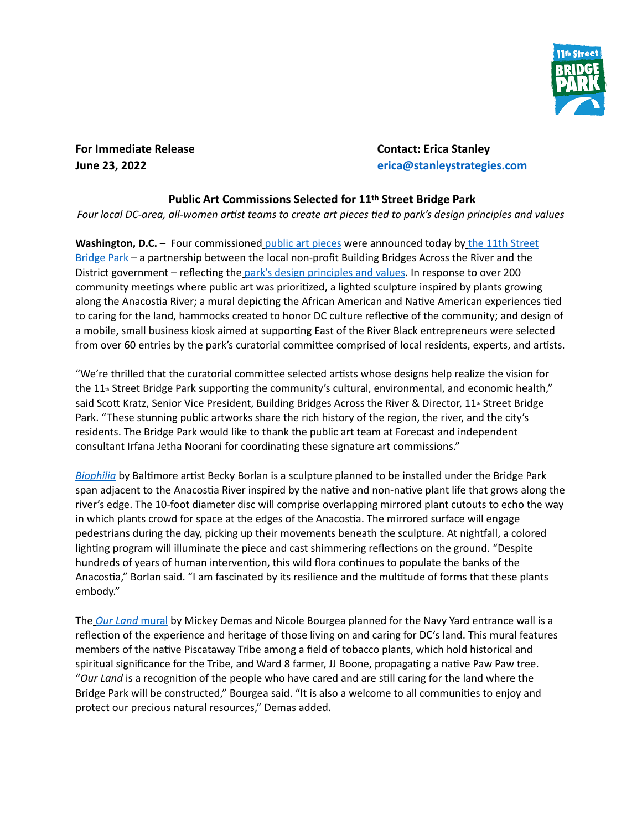

**For Immediate Release Contact: Erica Stanley**

**June 23, 2022 erica@stanleystrategies.com**

## **Public Art Commissions Selected for 11th Street Bridge Park**

*Four local DC-area, all-women ar1st teams to create art pieces 1ed to park's design principles and values*

**Washington, D.C.** – Four commissioned *public art pieces* were announced today by the 11th Street [Bridge Park](https://bbardc.org/project/11th-street-bridge-park/) – a partnership between the local non-profit Building Bridges Across the River and the District government – reflecting the [park's design principles and values.](https://bbardc.org/wp-content/uploads/2018/10/Bridge-Park-Principles_.pdf) In response to over 200 community meetings where public art was prioritized, a lighted sculpture inspired by plants growing along the Anacostia River; a mural depicting the African American and Native American experiences tied to caring for the land, hammocks created to honor DC culture reflective of the community; and design of a mobile, small business kiosk aimed at supporting East of the River Black entrepreneurs were selected from over 60 entries by the park's curatorial committee comprised of local residents, experts, and artists.

"We're thrilled that the curatorial committee selected artists whose designs help realize the vision for the 11<sup>th</sup> Street Bridge Park supporting the community's cultural, environmental, and economic health," said Scott Kratz, Senior Vice President, Building Bridges Across the River & Director, 11<sup>th</sup> Street Bridge Park. "These stunning public artworks share the rich history of the region, the river, and the city's residents. The Bridge Park would like to thank the public art team at Forecast and independent consultant Irfana Jetha Noorani for coordinating these signature art commissions."

*[Biophilia](https://drive.google.com/drive/folders/1JURhfTM9IAH7P-jyAEsQzwUTwXI-x3I0)* by Baltimore artist Becky Borlan is a sculpture planned to be installed under the Bridge Park span adjacent to the Anacostia River inspired by the native and non-native plant life that grows along the river's edge. The 10-foot diameter disc will comprise overlapping mirrored plant cutouts to echo the way in which plants crowd for space at the edges of the Anacostia. The mirrored surface will engage pedestrians during the day, picking up their movements beneath the sculpture. At nightfall, a colored lighting program will illuminate the piece and cast shimmering reflections on the ground. "Despite hundreds of years of human intervention, this wild flora continues to populate the banks of the Anacostia," Borlan said. "I am fascinated by its resilience and the multitude of forms that these plants embody."

The *[Our Land](https://drive.google.com/drive/folders/1KKVhZNpUdAZL6O5_EbB_Krls1e8aLwBt)* mural by Mickey Demas and Nicole Bourgea planned for the Navy Yard entrance wall is a reflection of the experience and heritage of those living on and caring for DC's land. This mural features members of the native Piscataway Tribe among a field of tobacco plants, which hold historical and spiritual significance for the Tribe, and Ward 8 farmer, JJ Boone, propagating a native Paw Paw tree. "Our Land is a recognition of the people who have cared and are still caring for the land where the Bridge Park will be constructed," Bourgea said. "It is also a welcome to all communities to enjoy and protect our precious natural resources," Demas added.